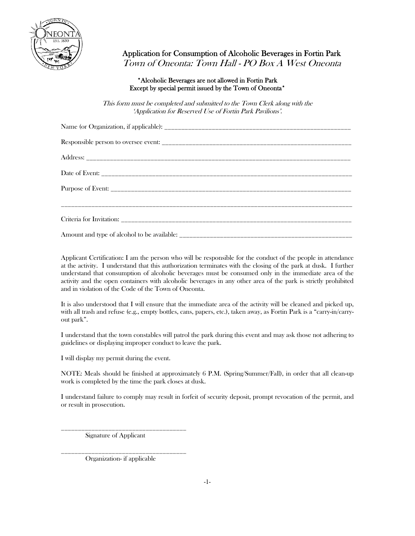

Application for Consumption of Alcoholic Beverages in Fortin Park Town of Oneonta: Town Hall - PO Box A West Oneonta

## \*Alcoholic Beverages are not allowed in Fortin Park Except by special permit issued by the Town of Oneonta\*

This form must be completed and submitted to the Town Clerk along with the 'Application for Reserved Use of Fortin Park Pavilions'.

Applicant Certification: I am the person who will be responsible for the conduct of the people in attendance at the activity. I understand that this authorization terminates with the closing of the park at dusk. I further understand that consumption of alcoholic beverages must be consumed only in the immediate area of the activity and the open containers with alcoholic beverages in any other area of the park is strictly prohibited and in violation of the Code of the Town of Oneonta.

It is also understood that I will ensure that the immediate area of the activity will be cleaned and picked up, with all trash and refuse (e.g., empty bottles, cans, papers, etc.), taken away, as Fortin Park is a "carry-in/carryout park".

I understand that the town constables will patrol the park during this event and may ask those not adhering to guidelines or displaying improper conduct to leave the park.

I will display my permit during the event.

NOTE: Meals should be finished at approximately 6 P.M. (Spring/Summer/Fall), in order that all clean-up work is completed by the time the park closes at dusk.

I understand failure to comply may result in forfeit of security deposit, prompt revocation of the permit, and or result in prosecution.

Signature of Applicant

\_\_\_\_\_\_\_\_\_\_\_\_\_\_\_\_\_\_\_\_\_\_\_\_\_\_\_\_\_\_\_\_\_\_\_\_\_ Organization- if applicable

\_\_\_\_\_\_\_\_\_\_\_\_\_\_\_\_\_\_\_\_\_\_\_\_\_\_\_\_\_\_\_\_\_\_\_\_\_